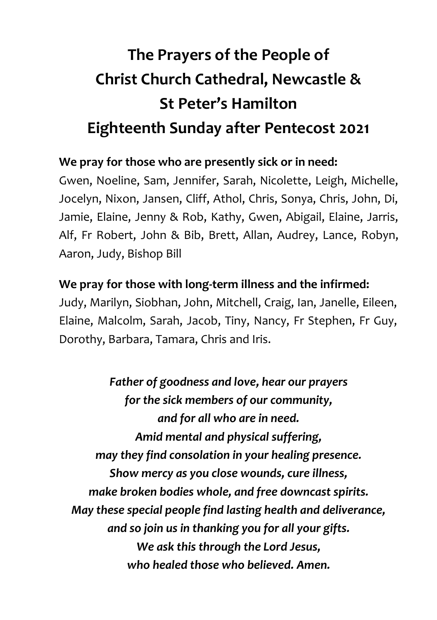## **The Prayers of the People of Christ Church Cathedral, Newcastle & St Peter's Hamilton Eighteenth Sunday after Pentecost 2021**

## **We pray for those who are presently sick or in need:**

Gwen, Noeline, Sam, Jennifer, Sarah, Nicolette, Leigh, Michelle, Jocelyn, Nixon, Jansen, Cliff, Athol, Chris, Sonya, Chris, John, Di, Jamie, Elaine, Jenny & Rob, Kathy, Gwen, Abigail, Elaine, Jarris, Alf, Fr Robert, John & Bib, Brett, Allan, Audrey, Lance, Robyn, Aaron, Judy, Bishop Bill

## **We pray for those with long-term illness and the infirmed:**

Judy, Marilyn, Siobhan, John, Mitchell, Craig, Ian, Janelle, Eileen, Elaine, Malcolm, Sarah, Jacob, Tiny, Nancy, Fr Stephen, Fr Guy, Dorothy, Barbara, Tamara, Chris and Iris.

*Father of goodness and love, hear our prayers for the sick members of our community, and for all who are in need. Amid mental and physical suffering, may they find consolation in your healing presence. Show mercy as you close wounds, cure illness, make broken bodies whole, and free downcast spirits. May these special people find lasting health and deliverance, and so join us in thanking you for all your gifts. We ask this through the Lord Jesus, who healed those who believed. Amen.*